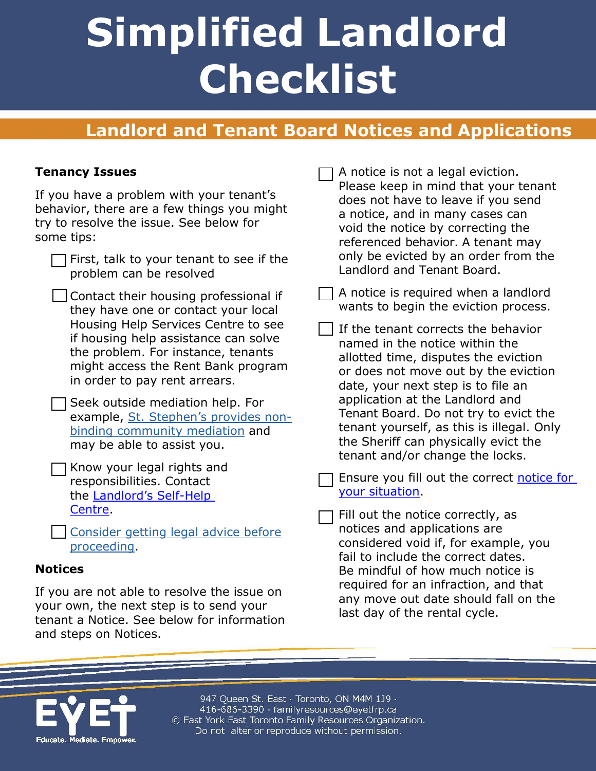# **Simplified Landlord Checklist**

## **Landlord and Tenant Board Notices and Applications**

#### **Tenancy Issues**

If you have a problem with your tenant's behavior, there are a few things you might try to resolve the issue. See below for some tips:

- $\Box$  First, talk to your tenant to see if the problem can be resolved
	- Contact their housing professional if they have one or contact your local Housing Help Services Centre to see if housing help assistance can solve the problem. For instance, tenants might access the Rent Bank program in order to pay rent arrears.
- Seek outside mediation help. For example, [St. Stephen's provides non](http://www.sschto.ca/Conflict-Resolution-Training/Community-Mediation)[binding community mediation](http://www.sschto.ca/Conflict-Resolution-Training/Community-Mediation) and may be able to assist you.
- Know your legal rights and responsibilities. Contact the [Landlord's Self-Help](https://landlordselfhelp.com/)  [Centre.](https://landlordselfhelp.com/)
- [Consider getting legal advice before](http://www.sjto.gov.on.ca/en/getting-legal-help/) [proceeding.](http://www.sjto.gov.on.ca/en/getting-legal-help/)

#### **Notices**

If you are not able to resolve the issue on your own, the next step is to send your tenant a Notice. See below for information and steps on Notices.

A notice is not a legal eviction. Please keep in mind that your tenant does not have to leave if you send a notice, and in many cases can void the notice by correcting the referenced behavior. A tenant may only be evicted by an order from the Landlord and Tenant Board.

- A notice is required when a landlord wants to begin the eviction process.
- If the tenant corrects the behavior named in the notice within the allotted time, disputes the eviction or does not move out by the eviction date, your next step is to file an application at the Landlord and Tenant Board. Do not try to evict the tenant yourself, as this is illegal. Only the Sheriff can physically evict the tenant and/or change the locks.
- Ensure you fill out the correct [notice for](http://www.sjto.gov.on.ca/ltb/forms/)  [your situation.](http://www.sjto.gov.on.ca/ltb/forms/)
- Fill out the notice correctly, as notices and applications are considered void if, for example, you fail to include the correct dates. Be mindful of how much notice is required for an infraction, and that any move out date should fall on the last day of the rental cycle.



947 Queen St. East · Toronto, ON M4M 1J9 · 416-686-3390 · familyresources@eyetfrp.ca © East York East Toronto Family Resources Organization. Do not alter or reproduce without permission.